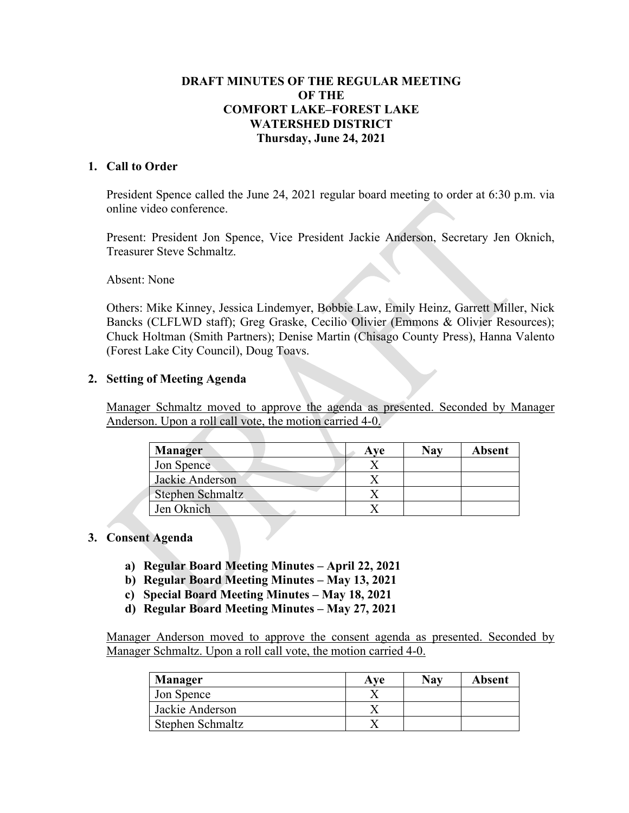## **DRAFT MINUTES OF THE REGULAR MEETING OF THE COMFORT LAKE–FOREST LAKE WATERSHED DISTRICT Thursday, June 24, 2021**

### **1. Call to Order**

President Spence called the June 24, 2021 regular board meeting to order at 6:30 p.m. via online video conference.

Present: President Jon Spence, Vice President Jackie Anderson, Secretary Jen Oknich, Treasurer Steve Schmaltz.

Absent: None

Others: Mike Kinney, Jessica Lindemyer, Bobbie Law, Emily Heinz, Garrett Miller, Nick Bancks (CLFLWD staff); Greg Graske, Cecilio Olivier (Emmons & Olivier Resources); Chuck Holtman (Smith Partners); Denise Martin (Chisago County Press), Hanna Valento (Forest Lake City Council), Doug Toavs.

### **2. Setting of Meeting Agenda**

Manager Schmaltz moved to approve the agenda as presented. Seconded by Manager Anderson. Upon a roll call vote, the motion carried 4-0.

| <b>Manager</b>   | Ave | Nav | <b>Absent</b> |
|------------------|-----|-----|---------------|
| Jon Spence       |     |     |               |
| Jackie Anderson  |     |     |               |
| Stephen Schmaltz |     |     |               |
| Jen Oknich       |     |     |               |

### **3. Consent Agenda**

- **a) Regular Board Meeting Minutes – April 22, 2021**
- **b) Regular Board Meeting Minutes – May 13, 2021**
- **c) Special Board Meeting Minutes – May 18, 2021**
- **d) Regular Board Meeting Minutes – May 27, 2021**

Manager Anderson moved to approve the consent agenda as presented. Seconded by Manager Schmaltz. Upon a roll call vote, the motion carried 4-0.

| <b>Manager</b>   | Ave | Nav | Absent |
|------------------|-----|-----|--------|
| Jon Spence       |     |     |        |
| Jackie Anderson  |     |     |        |
| Stephen Schmaltz |     |     |        |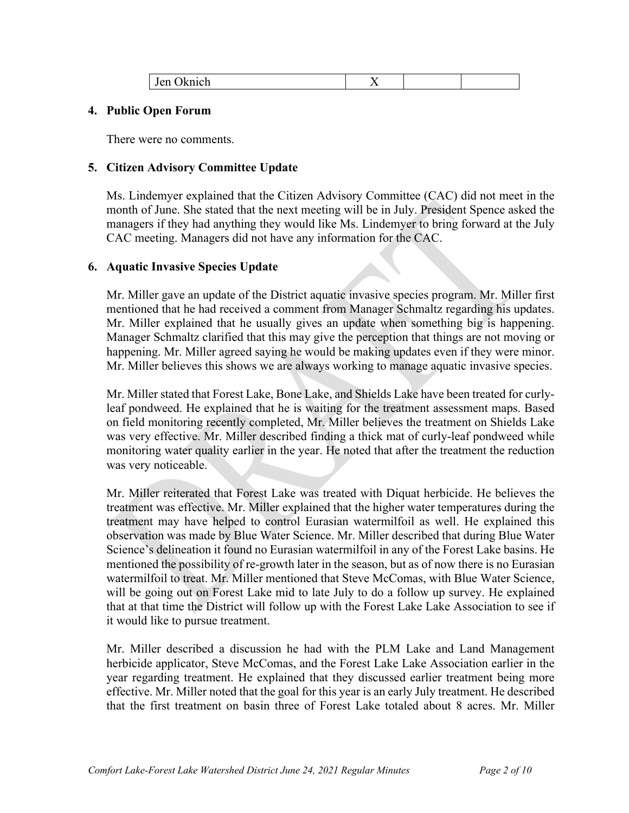|--|

### **4. Public Open Forum**

There were no comments.

### **5. Citizen Advisory Committee Update**

Ms. Lindemyer explained that the Citizen Advisory Committee (CAC) did not meet in the month of June. She stated that the next meeting will be in July. President Spence asked the managers if they had anything they would like Ms. Lindemyer to bring forward at the July CAC meeting. Managers did not have any information for the CAC.

### **6. Aquatic Invasive Species Update**

Mr. Miller gave an update of the District aquatic invasive species program. Mr. Miller first mentioned that he had received a comment from Manager Schmaltz regarding his updates. Mr. Miller explained that he usually gives an update when something big is happening. Manager Schmaltz clarified that this may give the perception that things are not moving or happening. Mr. Miller agreed saying he would be making updates even if they were minor. Mr. Miller believes this shows we are always working to manage aquatic invasive species.

Mr. Miller stated that Forest Lake, Bone Lake, and Shields Lake have been treated for curlyleaf pondweed. He explained that he is waiting for the treatment assessment maps. Based on field monitoring recently completed, Mr. Miller believes the treatment on Shields Lake was very effective. Mr. Miller described finding a thick mat of curly-leaf pondweed while monitoring water quality earlier in the year. He noted that after the treatment the reduction was very noticeable.

Mr. Miller reiterated that Forest Lake was treated with Diquat herbicide. He believes the treatment was effective. Mr. Miller explained that the higher water temperatures during the treatment may have helped to control Eurasian watermilfoil as well. He explained this observation was made by Blue Water Science. Mr. Miller described that during Blue Water Science's delineation it found no Eurasian watermilfoil in any of the Forest Lake basins. He mentioned the possibility of re-growth later in the season, but as of now there is no Eurasian watermilfoil to treat. Mr. Miller mentioned that Steve McComas, with Blue Water Science, will be going out on Forest Lake mid to late July to do a follow up survey. He explained that at that time the District will follow up with the Forest Lake Lake Association to see if it would like to pursue treatment.

Mr. Miller described a discussion he had with the PLM Lake and Land Management herbicide applicator, Steve McComas, and the Forest Lake Lake Association earlier in the year regarding treatment. He explained that they discussed earlier treatment being more effective. Mr. Miller noted that the goal for this year is an early July treatment. He described that the first treatment on basin three of Forest Lake totaled about 8 acres. Mr. Miller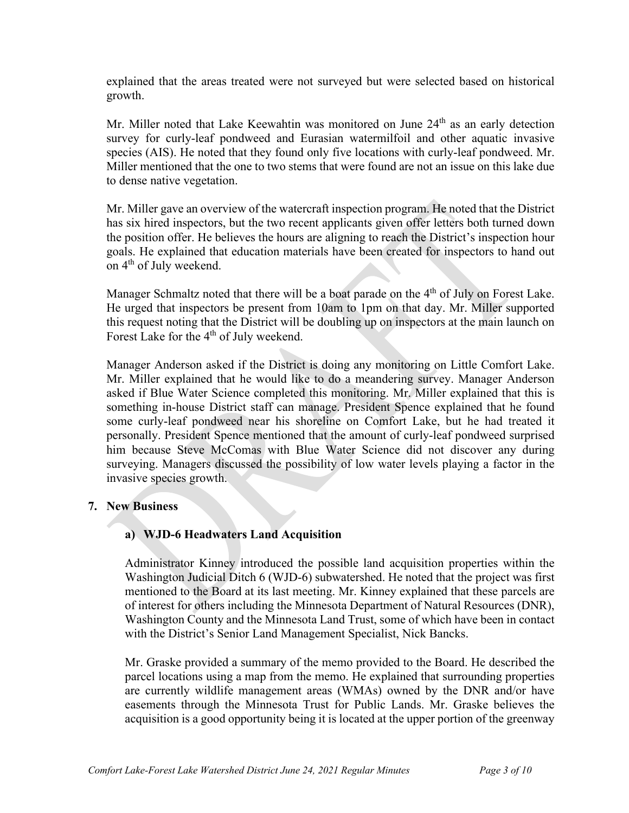explained that the areas treated were not surveyed but were selected based on historical growth.

Mr. Miller noted that Lake Keewahtin was monitored on June 24<sup>th</sup> as an early detection survey for curly-leaf pondweed and Eurasian watermilfoil and other aquatic invasive species (AIS). He noted that they found only five locations with curly-leaf pondweed. Mr. Miller mentioned that the one to two stems that were found are not an issue on this lake due to dense native vegetation.

Mr. Miller gave an overview of the watercraft inspection program. He noted that the District has six hired inspectors, but the two recent applicants given offer letters both turned down the position offer. He believes the hours are aligning to reach the District's inspection hour goals. He explained that education materials have been created for inspectors to hand out on  $4<sup>th</sup>$  of July weekend.

Manager Schmaltz noted that there will be a boat parade on the  $4<sup>th</sup>$  of July on Forest Lake. He urged that inspectors be present from 10am to 1pm on that day. Mr. Miller supported this request noting that the District will be doubling up on inspectors at the main launch on Forest Lake for the 4<sup>th</sup> of July weekend.

Manager Anderson asked if the District is doing any monitoring on Little Comfort Lake. Mr. Miller explained that he would like to do a meandering survey. Manager Anderson asked if Blue Water Science completed this monitoring. Mr. Miller explained that this is something in-house District staff can manage. President Spence explained that he found some curly-leaf pondweed near his shoreline on Comfort Lake, but he had treated it personally. President Spence mentioned that the amount of curly-leaf pondweed surprised him because Steve McComas with Blue Water Science did not discover any during surveying. Managers discussed the possibility of low water levels playing a factor in the invasive species growth.

## **7. New Business**

## **a) WJD-6 Headwaters Land Acquisition**

Administrator Kinney introduced the possible land acquisition properties within the Washington Judicial Ditch 6 (WJD-6) subwatershed. He noted that the project was first mentioned to the Board at its last meeting. Mr. Kinney explained that these parcels are of interest for others including the Minnesota Department of Natural Resources (DNR), Washington County and the Minnesota Land Trust, some of which have been in contact with the District's Senior Land Management Specialist, Nick Bancks.

Mr. Graske provided a summary of the memo provided to the Board. He described the parcel locations using a map from the memo. He explained that surrounding properties are currently wildlife management areas (WMAs) owned by the DNR and/or have easements through the Minnesota Trust for Public Lands. Mr. Graske believes the acquisition is a good opportunity being it is located at the upper portion of the greenway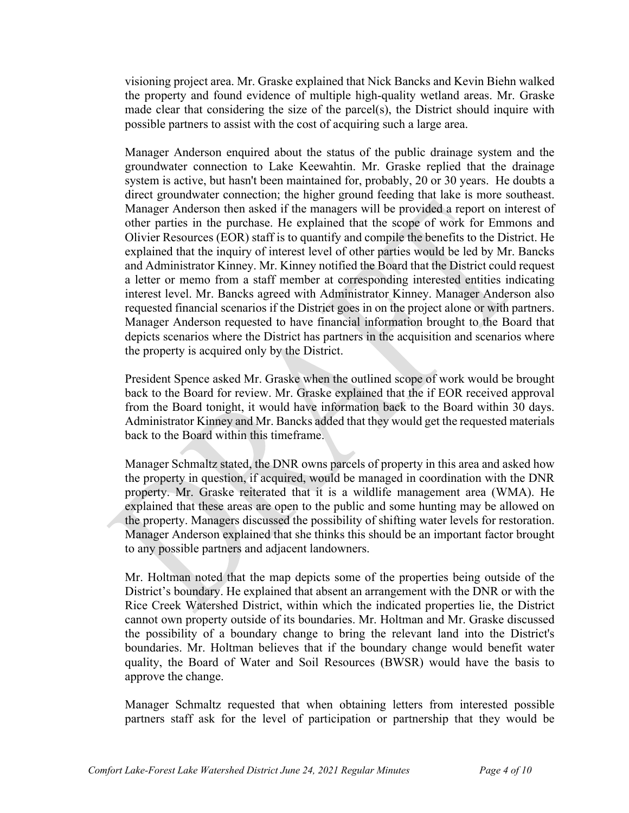visioning project area. Mr. Graske explained that Nick Bancks and Kevin Biehn walked the property and found evidence of multiple high-quality wetland areas. Mr. Graske made clear that considering the size of the parcel(s), the District should inquire with possible partners to assist with the cost of acquiring such a large area.

Manager Anderson enquired about the status of the public drainage system and the groundwater connection to Lake Keewahtin. Mr. Graske replied that the drainage system is active, but hasn't been maintained for, probably, 20 or 30 years. He doubts a direct groundwater connection; the higher ground feeding that lake is more southeast. Manager Anderson then asked if the managers will be provided a report on interest of other parties in the purchase. He explained that the scope of work for Emmons and Olivier Resources (EOR) staff is to quantify and compile the benefits to the District. He explained that the inquiry of interest level of other parties would be led by Mr. Bancks and Administrator Kinney. Mr. Kinney notified the Board that the District could request a letter or memo from a staff member at corresponding interested entities indicating interest level. Mr. Bancks agreed with Administrator Kinney. Manager Anderson also requested financial scenarios if the District goes in on the project alone or with partners. Manager Anderson requested to have financial information brought to the Board that depicts scenarios where the District has partners in the acquisition and scenarios where the property is acquired only by the District.

President Spence asked Mr. Graske when the outlined scope of work would be brought back to the Board for review. Mr. Graske explained that the if EOR received approval from the Board tonight, it would have information back to the Board within 30 days. Administrator Kinney and Mr. Bancks added that they would get the requested materials back to the Board within this timeframe.

Manager Schmaltz stated, the DNR owns parcels of property in this area and asked how the property in question, if acquired, would be managed in coordination with the DNR property. Mr. Graske reiterated that it is a wildlife management area (WMA). He explained that these areas are open to the public and some hunting may be allowed on the property. Managers discussed the possibility of shifting water levels for restoration. Manager Anderson explained that she thinks this should be an important factor brought to any possible partners and adjacent landowners.

Mr. Holtman noted that the map depicts some of the properties being outside of the District's boundary. He explained that absent an arrangement with the DNR or with the Rice Creek Watershed District, within which the indicated properties lie, the District cannot own property outside of its boundaries. Mr. Holtman and Mr. Graske discussed the possibility of a boundary change to bring the relevant land into the District's boundaries. Mr. Holtman believes that if the boundary change would benefit water quality, the Board of Water and Soil Resources (BWSR) would have the basis to approve the change.

Manager Schmaltz requested that when obtaining letters from interested possible partners staff ask for the level of participation or partnership that they would be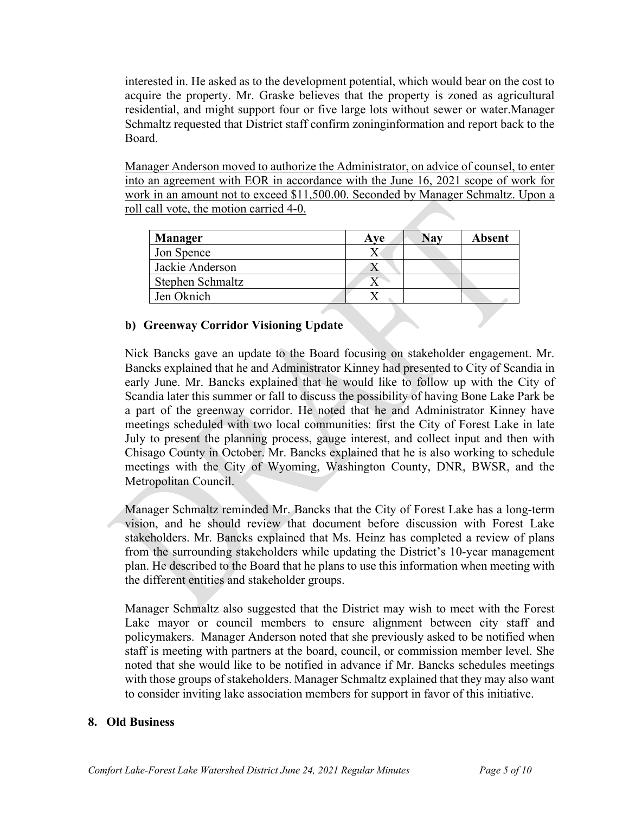interested in. He asked as to the development potential, which would bear on the cost to acquire the property. Mr. Graske believes that the property is zoned as agricultural residential, and might support four or five large lots without sewer or water.Manager Schmaltz requested that District staff confirm zoninginformation and report back to the Board.

Manager Anderson moved to authorize the Administrator, on advice of counsel, to enter into an agreement with EOR in accordance with the June 16, 2021 scope of work for work in an amount not to exceed \$11,500.00. Seconded by Manager Schmaltz. Upon a roll call vote, the motion carried 4-0.

| Manager          | Ave | Nav | <b>Absent</b> |
|------------------|-----|-----|---------------|
| Jon Spence       |     |     |               |
| Jackie Anderson  |     |     |               |
| Stephen Schmaltz |     |     |               |
| Jen Oknich       |     |     |               |

## **b) Greenway Corridor Visioning Update**

Nick Bancks gave an update to the Board focusing on stakeholder engagement. Mr. Bancks explained that he and Administrator Kinney had presented to City of Scandia in early June. Mr. Bancks explained that he would like to follow up with the City of Scandia later this summer or fall to discuss the possibility of having Bone Lake Park be a part of the greenway corridor. He noted that he and Administrator Kinney have meetings scheduled with two local communities: first the City of Forest Lake in late July to present the planning process, gauge interest, and collect input and then with Chisago County in October. Mr. Bancks explained that he is also working to schedule meetings with the City of Wyoming, Washington County, DNR, BWSR, and the Metropolitan Council.

Manager Schmaltz reminded Mr. Bancks that the City of Forest Lake has a long-term vision, and he should review that document before discussion with Forest Lake stakeholders. Mr. Bancks explained that Ms. Heinz has completed a review of plans from the surrounding stakeholders while updating the District's 10-year management plan. He described to the Board that he plans to use this information when meeting with the different entities and stakeholder groups.

Manager Schmaltz also suggested that the District may wish to meet with the Forest Lake mayor or council members to ensure alignment between city staff and policymakers. Manager Anderson noted that she previously asked to be notified when staff is meeting with partners at the board, council, or commission member level. She noted that she would like to be notified in advance if Mr. Bancks schedules meetings with those groups of stakeholders. Manager Schmaltz explained that they may also want to consider inviting lake association members for support in favor of this initiative.

### **8. Old Business**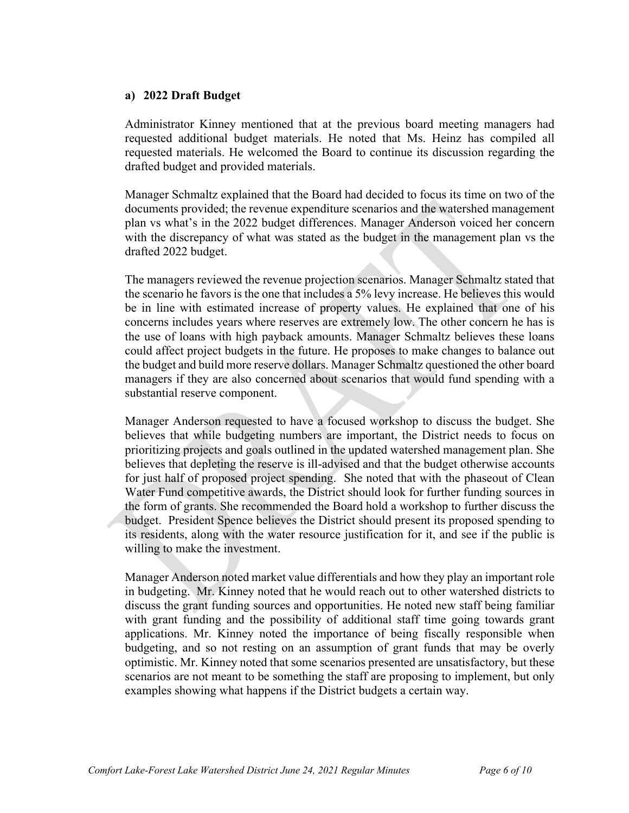#### **a) 2022 Draft Budget**

Administrator Kinney mentioned that at the previous board meeting managers had requested additional budget materials. He noted that Ms. Heinz has compiled all requested materials. He welcomed the Board to continue its discussion regarding the drafted budget and provided materials.

Manager Schmaltz explained that the Board had decided to focus its time on two of the documents provided; the revenue expenditure scenarios and the watershed management plan vs what's in the 2022 budget differences. Manager Anderson voiced her concern with the discrepancy of what was stated as the budget in the management plan vs the drafted 2022 budget.

The managers reviewed the revenue projection scenarios. Manager Schmaltz stated that the scenario he favors is the one that includes a 5% levy increase. He believes this would be in line with estimated increase of property values. He explained that one of his concerns includes years where reserves are extremely low. The other concern he has is the use of loans with high payback amounts. Manager Schmaltz believes these loans could affect project budgets in the future. He proposes to make changes to balance out the budget and build more reserve dollars. Manager Schmaltz questioned the other board managers if they are also concerned about scenarios that would fund spending with a substantial reserve component.

Manager Anderson requested to have a focused workshop to discuss the budget. She believes that while budgeting numbers are important, the District needs to focus on prioritizing projects and goals outlined in the updated watershed management plan. She believes that depleting the reserve is ill-advised and that the budget otherwise accounts for just half of proposed project spending. She noted that with the phaseout of Clean Water Fund competitive awards, the District should look for further funding sources in the form of grants. She recommended the Board hold a workshop to further discuss the budget. President Spence believes the District should present its proposed spending to its residents, along with the water resource justification for it, and see if the public is willing to make the investment.

Manager Anderson noted market value differentials and how they play an important role in budgeting. Mr. Kinney noted that he would reach out to other watershed districts to discuss the grant funding sources and opportunities. He noted new staff being familiar with grant funding and the possibility of additional staff time going towards grant applications. Mr. Kinney noted the importance of being fiscally responsible when budgeting, and so not resting on an assumption of grant funds that may be overly optimistic. Mr. Kinney noted that some scenarios presented are unsatisfactory, but these scenarios are not meant to be something the staff are proposing to implement, but only examples showing what happens if the District budgets a certain way.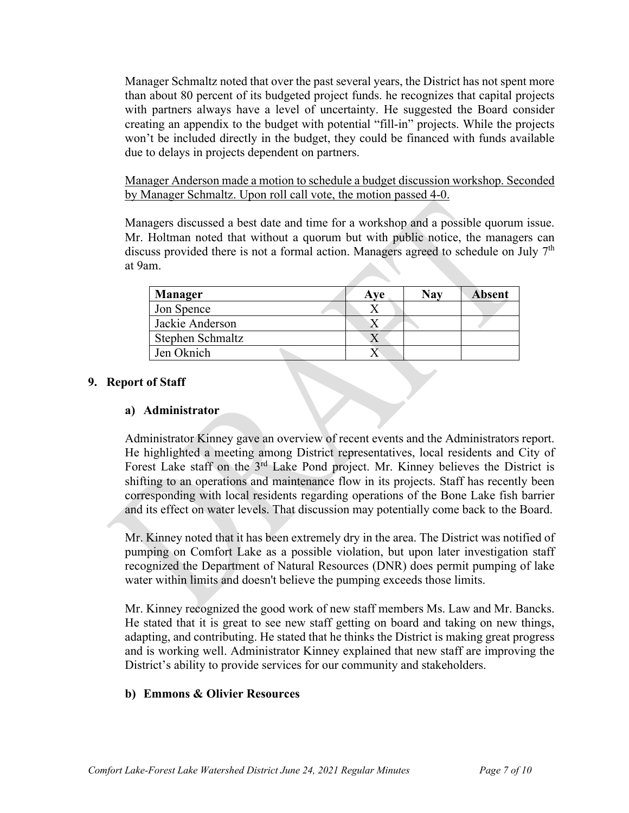Manager Schmaltz noted that over the past several years, the District has not spent more than about 80 percent of its budgeted project funds. he recognizes that capital projects with partners always have a level of uncertainty. He suggested the Board consider creating an appendix to the budget with potential "fill-in" projects. While the projects won't be included directly in the budget, they could be financed with funds available due to delays in projects dependent on partners.

Manager Anderson made a motion to schedule a budget discussion workshop. Seconded by Manager Schmaltz. Upon roll call vote, the motion passed 4-0.

Managers discussed a best date and time for a workshop and a possible quorum issue. Mr. Holtman noted that without a quorum but with public notice, the managers can discuss provided there is not a formal action. Managers agreed to schedule on July 7<sup>th</sup> at 9am.

| Manager          | Ave | Nav | <b>Absent</b> |
|------------------|-----|-----|---------------|
| Jon Spence       |     |     |               |
| Jackie Anderson  |     |     |               |
| Stephen Schmaltz |     |     |               |
| Jen Oknich       |     |     |               |

### **9. Report of Staff**

### **a) Administrator**

Administrator Kinney gave an overview of recent events and the Administrators report. He highlighted a meeting among District representatives, local residents and City of Forest Lake staff on the 3rd Lake Pond project. Mr. Kinney believes the District is shifting to an operations and maintenance flow in its projects. Staff has recently been corresponding with local residents regarding operations of the Bone Lake fish barrier and its effect on water levels. That discussion may potentially come back to the Board.

Mr. Kinney noted that it has been extremely dry in the area. The District was notified of pumping on Comfort Lake as a possible violation, but upon later investigation staff recognized the Department of Natural Resources (DNR) does permit pumping of lake water within limits and doesn't believe the pumping exceeds those limits.

Mr. Kinney recognized the good work of new staff members Ms. Law and Mr. Bancks. He stated that it is great to see new staff getting on board and taking on new things, adapting, and contributing. He stated that he thinks the District is making great progress and is working well. Administrator Kinney explained that new staff are improving the District's ability to provide services for our community and stakeholders.

### **b) Emmons & Olivier Resources**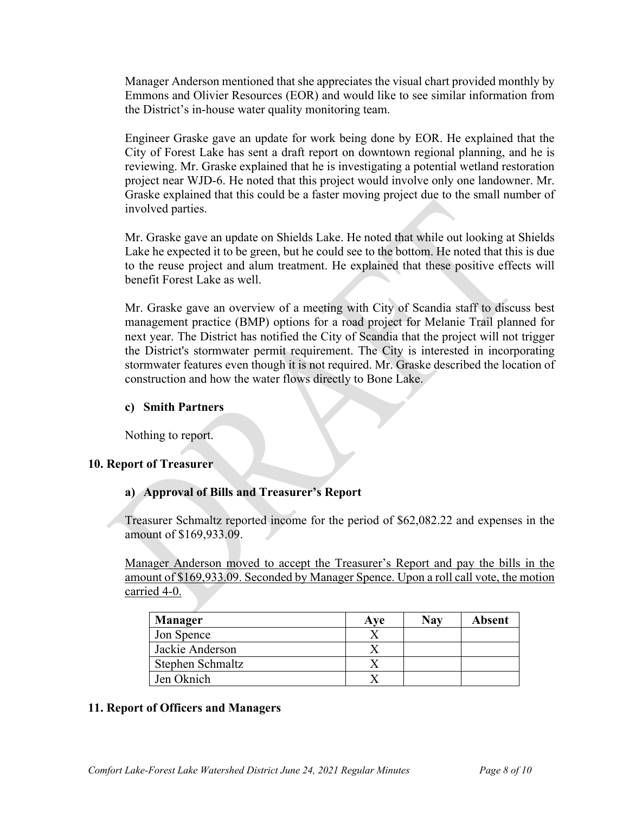Manager Anderson mentioned that she appreciates the visual chart provided monthly by Emmons and Olivier Resources (EOR) and would like to see similar information from the District's in-house water quality monitoring team.

Engineer Graske gave an update for work being done by EOR. He explained that the City of Forest Lake has sent a draft report on downtown regional planning, and he is reviewing. Mr. Graske explained that he is investigating a potential wetland restoration project near WJD-6. He noted that this project would involve only one landowner. Mr. Graske explained that this could be a faster moving project due to the small number of involved parties.

Mr. Graske gave an update on Shields Lake. He noted that while out looking at Shields Lake he expected it to be green, but he could see to the bottom. He noted that this is due to the reuse project and alum treatment. He explained that these positive effects will benefit Forest Lake as well.

Mr. Graske gave an overview of a meeting with City of Scandia staff to discuss best management practice (BMP) options for a road project for Melanie Trail planned for next year. The District has notified the City of Scandia that the project will not trigger the District's stormwater permit requirement. The City is interested in incorporating stormwater features even though it is not required. Mr. Graske described the location of construction and how the water flows directly to Bone Lake.

### **c) Smith Partners**

Nothing to report.

## **10. Report of Treasurer**

## **a) Approval of Bills and Treasurer's Report**

Treasurer Schmaltz reported income for the period of \$62,082.22 and expenses in the amount of \$169,933.09.

Manager Anderson moved to accept the Treasurer's Report and pay the bills in the amount of \$169,933.09. Seconded by Manager Spence. Upon a roll call vote, the motion carried 4-0.

| <b>Manager</b>   | Ave | Nav | <b>Absent</b> |
|------------------|-----|-----|---------------|
| Jon Spence       |     |     |               |
| Jackie Anderson  |     |     |               |
| Stephen Schmaltz |     |     |               |
| Jen Oknich       |     |     |               |

## **11. Report of Officers and Managers**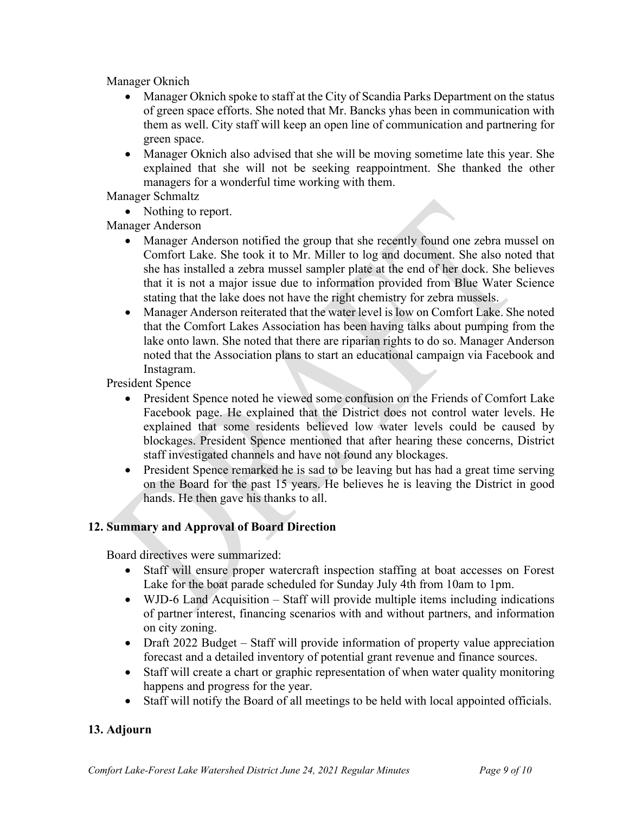Manager Oknich

- Manager Oknich spoke to staff at the City of Scandia Parks Department on the status of green space efforts. She noted that Mr. Bancks yhas been in communication with them as well. City staff will keep an open line of communication and partnering for green space.
- Manager Oknich also advised that she will be moving sometime late this year. She explained that she will not be seeking reappointment. She thanked the other managers for a wonderful time working with them.

Manager Schmaltz

• Nothing to report.

Manager Anderson

- Manager Anderson notified the group that she recently found one zebra mussel on Comfort Lake. She took it to Mr. Miller to log and document. She also noted that she has installed a zebra mussel sampler plate at the end of her dock. She believes that it is not a major issue due to information provided from Blue Water Science stating that the lake does not have the right chemistry for zebra mussels.
- Manager Anderson reiterated that the water level is low on Comfort Lake. She noted that the Comfort Lakes Association has been having talks about pumping from the lake onto lawn. She noted that there are riparian rights to do so. Manager Anderson noted that the Association plans to start an educational campaign via Facebook and Instagram.

President Spence

- President Spence noted he viewed some confusion on the Friends of Comfort Lake Facebook page. He explained that the District does not control water levels. He explained that some residents believed low water levels could be caused by blockages. President Spence mentioned that after hearing these concerns, District staff investigated channels and have not found any blockages.
- President Spence remarked he is sad to be leaving but has had a great time serving on the Board for the past 15 years. He believes he is leaving the District in good hands. He then gave his thanks to all.

## **12. Summary and Approval of Board Direction**

Board directives were summarized:

- Staff will ensure proper watercraft inspection staffing at boat accesses on Forest Lake for the boat parade scheduled for Sunday July 4th from 10am to 1pm.
- WJD-6 Land Acquisition Staff will provide multiple items including indications of partner interest, financing scenarios with and without partners, and information on city zoning.
- Draft 2022 Budget Staff will provide information of property value appreciation forecast and a detailed inventory of potential grant revenue and finance sources.
- Staff will create a chart or graphic representation of when water quality monitoring happens and progress for the year.
- Staff will notify the Board of all meetings to be held with local appointed officials.

## **13. Adjourn**